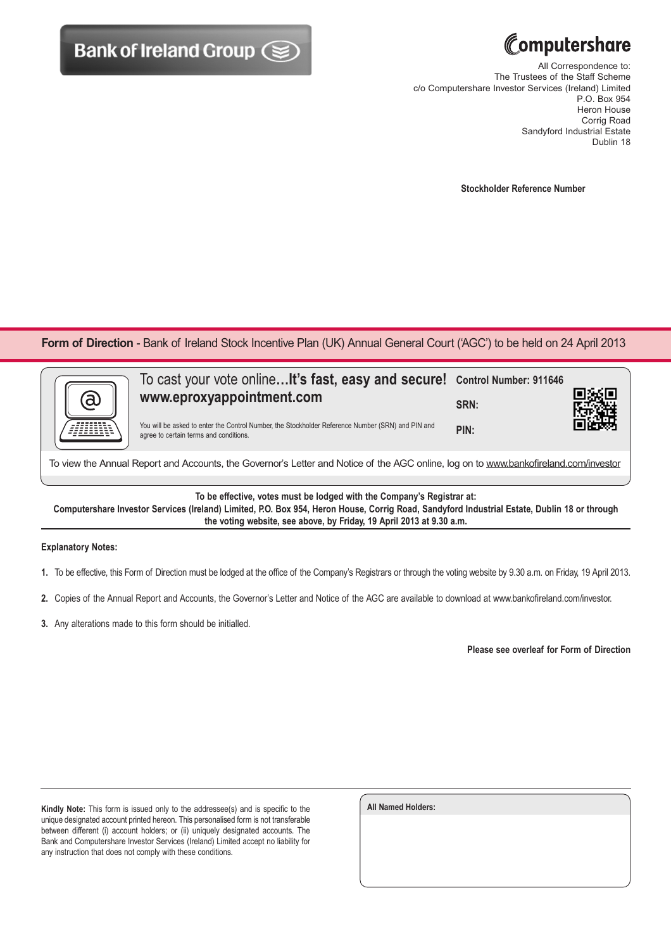



All Correspondence to: The Trustees of the Staff Scheme c/o Computershare Investor Services (Ireland) Limited P.O. Box 954 Heron House Corrig Road Sandyford Industrial Estate Dublin 18

**Stockholder Reference Number**

Form of Direction - Bank of Ireland Stock Incentive Plan (UK) Annual General Court ('AGC') to be held on 24 April 2013

| ã | To cast your vote online It's fast, easy and secure! Control Number: 911646<br>www.eproxyappointment.com                                    | SRN: |  |
|---|---------------------------------------------------------------------------------------------------------------------------------------------|------|--|
|   | You will be asked to enter the Control Number, the Stockholder Reference Number (SRN) and PIN and<br>agree to certain terms and conditions. | PIN: |  |
|   |                                                                                                                                             |      |  |

To view the Annual Report and Accounts, the Governor's Letter and Notice of the AGC online, log on to www.bankofireland.com/investor

**To be effective, votes must be lodged with the Company's Registrar at:**

**Computershare Investor Services (Ireland) Limited, P.O. Box 954, Heron House, Corrig Road, Sandyford Industrial Estate, Dublin 18 or through the voting website, see above, by Friday, 19 April 2013 at 9.30 a.m.**

## **Explanatory Notes:**

- **1.** To be effective, this Form of Direction must be lodged at the office of the Company's Registrars or through the voting website by 9.30 a.m. on Friday, 19 April 2013.
- **2.** Copies of the Annual Report and Accounts, the Governor's Letter and Notice of the AGC are available to download at www.bankofireland.com/investor.
- **3.** Any alterations made to this form should be initialled.

**Please see overleaf for Form of Direction**

**Kindly Note:** This form is issued only to the addressee(s) and is specific to the unique designated account printed hereon. This personalised form is not transferable between different (i) account holders; or (ii) uniquely designated accounts. The Bank and Computershare Investor Services (Ireland) Limited accept no liability for any instruction that does not comply with these conditions.

| <b>All Named Holders:</b> |  |  |
|---------------------------|--|--|
|                           |  |  |
|                           |  |  |
|                           |  |  |
|                           |  |  |